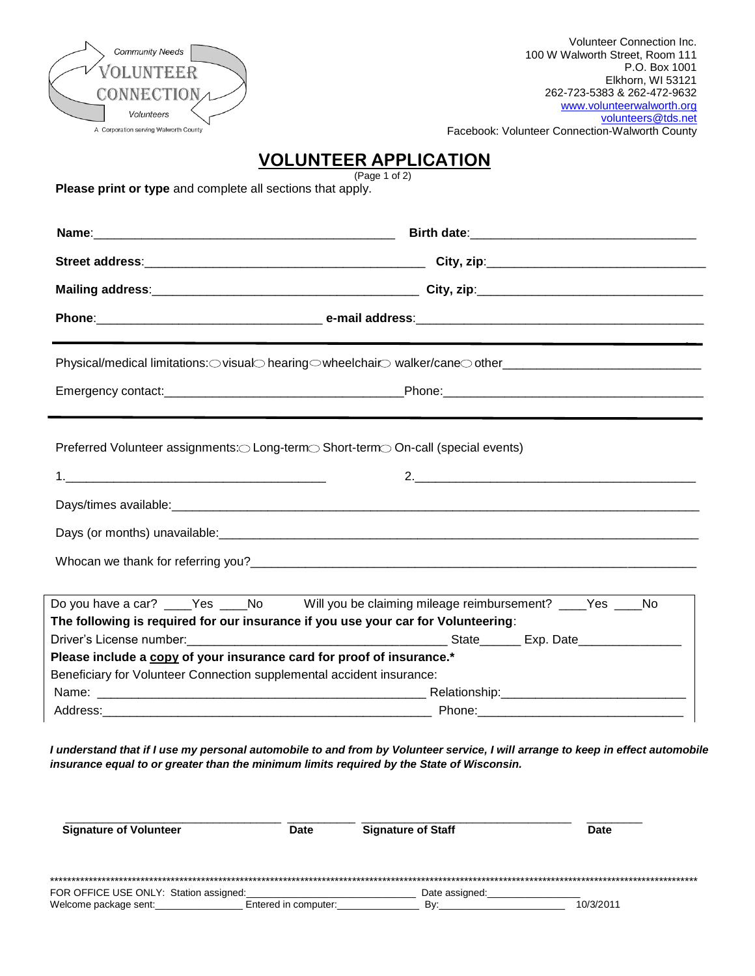| <b>Community Needs</b><br><b>OLUNTEER</b> |  |
|-------------------------------------------|--|
| <b>CONNECTION<sub>A</sub></b>             |  |
| Volunteers                                |  |
| A Corporation serving Walworth County     |  |

# **VOLUNTEER APPLICATION**

(Page 1 of 2)

**Please print or type** and complete all sections that apply.

|                                                                                   | Physical/medical limitations: ovisualohearing owheelchairowalker/caneoother___________________________________ |  |  |  |  |  |  |
|-----------------------------------------------------------------------------------|----------------------------------------------------------------------------------------------------------------|--|--|--|--|--|--|
|                                                                                   |                                                                                                                |  |  |  |  |  |  |
| Preferred Volunteer assignments:○Long-term○Short-term○On-call (special events)    |                                                                                                                |  |  |  |  |  |  |
|                                                                                   |                                                                                                                |  |  |  |  |  |  |
|                                                                                   |                                                                                                                |  |  |  |  |  |  |
|                                                                                   |                                                                                                                |  |  |  |  |  |  |
|                                                                                   |                                                                                                                |  |  |  |  |  |  |
| The following is required for our insurance if you use your car for Volunteering: | Do you have a car? ____Yes ____No Will you be claiming mileage reimbursement? ___Yes ____No                    |  |  |  |  |  |  |
| Please include a copy of your insurance card for proof of insurance.*             |                                                                                                                |  |  |  |  |  |  |
| Beneficiary for Volunteer Connection supplemental accident insurance:             |                                                                                                                |  |  |  |  |  |  |
|                                                                                   |                                                                                                                |  |  |  |  |  |  |
|                                                                                   |                                                                                                                |  |  |  |  |  |  |

*I understand that if I use my personal automobile to and from by Volunteer service, I will arrange to keep in effect automobile insurance equal to or greater than the minimum limits required by the State of Wisconsin.*

| <b>Signature of Volunteer</b>                                   |  | <b>Signature of Staff</b><br><b>Date</b> |  |                       |  | <b>Date</b> |  |
|-----------------------------------------------------------------|--|------------------------------------------|--|-----------------------|--|-------------|--|
|                                                                 |  |                                          |  |                       |  |             |  |
| FOR OFFICE USE ONLY: Station assigned:<br>Welcome package sent: |  | Entered in computer:                     |  | Date assigned:<br>Bv: |  | 10/3/2011   |  |